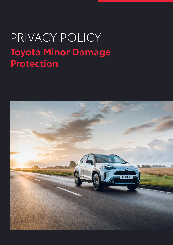# PRIVACY POLICY **Toyota Minor Damage Protection**

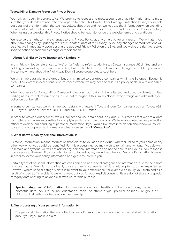### **Toyota Minor Damage Protection Privacy Policy**

Your privacy is very important to us. We promise to respect and protect your personal information and to make sure that your details are accurate and kept up to date. This Toyota Minor Damage Protection Privacy Policy sets out details of the information that we may collect about you and how we may use that information when providing us with information about your experience with us. Please take your time to read this Privacy Policy carefully. When using our website, this Privacy Notice should be read alongside the website terms and conditions.

We reserve the right to make changes to this Privacy Policy at any time and for any reason. We will alert you about any changes by updating the "Last Updated" date of this Privacy Policy. Any changes or modifications will be effective immediately upon posting the updated Privacy Policy on the Site, and you waive the right to receive specific notice of each such change or modification.

### **1. About Aioi Nissay Dowa Insurance UK Limited ►**

In this Privacy Notice references to "we" or "us" refer to refers to Aioi Nissay Dowa Insurance UK Limited and any holding or subsidiary companies (including but not limited to Toyota Insurance Management SE). If you would like to know more about the Aioi Nissay Dowa Europe group please click here.

We will share data within the group, but this is limited to our group companies within the European Economic Area (EEA), except in exceptional circumstances where we may need to discuss a policy or claim with our parent companies.

When you apply for Toyota Minor Damage Protection, your data will be collected and used by Nukula Limited trading as InsureThat (referred to as InsureThat throughout this Privacy Notice) who arrange and administer your policy on our behalf.

In some circumstances we will share your details with relevant Toyota Group Companies, such as: Toyota (GB) PLC, Toyota Financial Services (UK) PLC and KINTO U.K. Limited.

In order to provide our services, we will collect and use data about individuals. This means that we are a 'data controller' and we are responsible for complying with data protection laws. We have appointed a data protection officer to oversee our handling of personal information. If you would like more information about how we collect, store or use your personal information, please see section **9 "Contact us"** .

#### **2. What do we mean by personal information? ►**

"Personal information" means information that relates to you as an individual, whether linked to your name or any other way which you could be identified. For this processing, you may wish to remain anonymous. If you do wish to remain anonymous, we will not ask for any personal information and not be able to link your survey response to your policy. However, if you do wish to be contacted by us, we will require your Vehicle Registration Number in order to locate your policy information and get in touch with you.

Certain types of personal information are considered to be "special categories of information" due to their more sensitive nature. We will not ordinarily process special categories of data relating to customer experiences. However, where special category data is relevant to your experience, for example an injury you sustained as a result of a road traffic accident, we will always ask you for your explicit consent. Please do not share any special category data relating to anyone else with us, for this purpose.

**Special categories of information:** Information about your health, criminal convictions, genetic or biometric data, sex life, sexual orientation, racial or ethnic origin, political opinions, religious or philosophical beliefs, or trade union membership.

#### **3. Our processing of your personal information ►**

The personal information that we collect can vary. For example, we may collect more detailed information about you if you make a claim.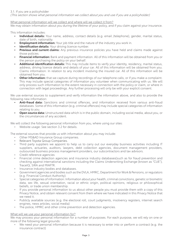(This section shows what personal information we collect about you and use if you are a policyholder)

# What personal information will we collect and where will we collect it from?

We may obtain information about you during the lifetime of your policy, and if you claim against your insurance.

This information includes:

- **• Individual details:** Your name, address, contact details (e.g. email /telephone), gender, marital status, date of birth, nationality.
- **Employment information:** Your job title and the nature of the industry you work in.
- **Identification details:** Your driving licence number.
- **Previous and current claims:** Any previous insurance policies you have held and claims made against those policies.
- **• Financial information:** Bank and payment information. All of this information will be obtained from you or the person purchasing the policy on your behalf.
- **• Additional identification details:** This may include items to verify your identity, residency, marital status, address, driving licence details and details of your car. All of this information will be obtained from you. Claims information: In relation to any incident involving the insured car. All of this information will be obtained from you.
- **Other information:** that we capture during recordings of our telephone calls, or if you make a complaint. This may include special categories of information you volunteer when communicating with us. We will only process such information to the extent necessary in connection with the policy or claim, or where in connection with legal proceedings. Any further processing will only be with your explicit consent.

We use external sources to supplement and verify information the information above, and also to provide the following new information:

- **• Anti-fraud data:** Sanctions and criminal offences, and information received from various anti-fraud databases. Some of this information (e.g. criminal offences) may include special categories of information relating to you.
- **• Open source data:** Unstructured data which is in the public domain, including social media, about you, or the circumstances of any accident.

We will collect the following personal information from you, where using our sites:

• Website usage: See section 3.2 for details.

The external sources that provide us with information about you may include:

- Other MS&AD Insurance Group companies.
- Relevant Toyota Group Companies.
- Third party suppliers we appoint to help us to carry out our everyday business activities including IT suppliers, actuaries, auditors, lawyers, debt collection agencies, document management providers, outsourced business process management providers, our subcontractors and tax advisors.
- Credit reference agencies
- Financial crime detection agencies and insurance industry databases(such as for fraud prevention and checking against international sanctions including the Claims Underwriting Exchange (known as "CUE"), TraceIQ, SIRA and MIAFTR.
- Insurance industry bodies and databases.
- Government agencies and bodies such as the DVLA, HMRC, Department for Work & Pensions, or regulators (e.g. Financial Conduct Authority).
- Special categories of information: Information about your health, criminal convictions, genetic or biometric data, sex life, sexual orientation, racial or ethnic origin, political opinions, religious or philosophical beliefs, or trade union membership.
- If you provide personal information to us about other people you must provide them with a copy of this Privacy Notice, and obtain relevant consent from them where we have indicated in this Privacy Notice that we need it.
- Publicly available sources (e.g. the electoral roll, court judgments, insolvency registers, internet search engines, news articles, social media)
- The police, HMRC and other crime prevention and detection agencies.

#### What will we use your personal information for?

We may process your personal information for a number of purposes. For each purpose, we will rely on one or more of the following legal grounds:

We need your personal information because it is necessary to enter into or perform a contract (e.g. the insurance contract)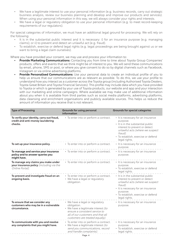- We have a legitimate interest to use your personal information (e.g. business records, carry out strategic business analysis, review our business planning and develop and improve our products and services). When using your personal information in this way, we will always consider your rights and interests.
- We have a legal or regulatory obligation to use your personal information (e.g. to meet record-keeping requirements of our regulators).

For special categories of information, we must have an additional legal ground for processing. We will rely on the following:

- It is in the substantial public interest and it is necessary: i) for an insurance purpose (e.g. managing claims); or ii) to prevent and detect an unlawful act (e.g. fraud).
- To establish, exercise or defend legal rights (e.g. legal proceedings are being brought against us or we want to bring a legal claim ourselves).

Where you have provided your consent, we may use and process your information to:

- **• Provide Marketing Communications:** Contacting you from time to time about Toyota Group Companies' products, offers and events that we think might be of interest to you. We will send these communications by email, phone, SMS or post, or where you give consent to do so by digital channels such as Facebook, Instagram or via online advertising platforms.
- **• Provide Personalised Communications:** Use your personal data to create an individual profile of you to help us ensure that our communications are as relevant as possible. To do this, we use your profile to understand how you interact as a customer across the Toyota group (including Authorised Toyota Dealers, Toyota Great Britain and Toyota Financial Services). This profile may include data which you have provided to Toyota or which is generated by your use of Toyota products, our website and app and your interaction with our marketing and online campaigns. Where available we may make use of additional information about you when it is available from third parties such as social media platforms, advertising platforms, data cleansing and enrichment organisations and publicly available sources. This helps us reduce the amount of information you receive that is not relevant.

| <b>Type of Processing</b>                                                                          | Grounds for using personal<br>information                                                                                                                                                       | <b>Grounds for special categories</b>                                                                                                                                                                                     |
|----------------------------------------------------------------------------------------------------|-------------------------------------------------------------------------------------------------------------------------------------------------------------------------------------------------|---------------------------------------------------------------------------------------------------------------------------------------------------------------------------------------------------------------------------|
| To verify your identity, carry out fraud,<br>credit and anti-money laundering<br>checks.           | • To enter into or perform a contract.                                                                                                                                                          | • It is necessary for an insurance<br>purpose.<br>• It is in the substantial public<br>interest to prevent or detect<br>unlawful acts (where we suspect<br>fraud).<br>· To establish, exercise or defend<br>legal rights. |
| To set up your insurance policy.                                                                   | • To enter into or perform a contract.                                                                                                                                                          | • It is necessary for an insurance<br>purpose.                                                                                                                                                                            |
| To manage and service your insurance<br>policy and to answer queries you<br>might have.            | • To enter into or perform a contract.                                                                                                                                                          | • It is necessary for an insurance<br>purpose.                                                                                                                                                                            |
| To manage any claims you make under<br>your insurance policy (including via the<br>Online Portal). | • To enter into or perform a contract.                                                                                                                                                          | • It is necessary for an insurance<br>purpose.<br>• To establish, exercise or defend<br>legal rights.                                                                                                                     |
| To prevent and investigate fraud on an<br>ongoing basis.                                           | • To enter into or perform a contract.<br>• We have a legal or regulatory<br>obligation.                                                                                                        | • It is in the substantial public<br>interest to prevent or detect<br>unlawful acts (where we suspect<br>fraud).<br>• It is necessary for an insurance<br>purpose.<br>· To establish, exercise or defend<br>legal rights. |
| To ensure that we consider any<br>customers who may be in a vulnerable<br>circumstance.            | • We have a legal or regulatory<br>obligation.<br>• We have a legitimate interest (to<br>ensure a consistent service to<br>all of our customers and that all<br>customers are treated equally). | • It is necessary for an insurance<br>purpose.                                                                                                                                                                            |
| To communicate with you and resolve<br>any complaints that you might have.                         | • To enter into or perform a contract.<br>• We have a legitimate interest (to<br>send you communications, record<br>and handle complaints).<br>Page 4                                           | • It is necessary for an insurance<br>purpose.<br>· To establish, exercise or defend<br>legal rights.                                                                                                                     |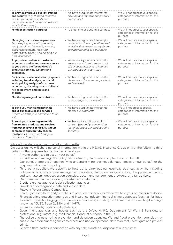| To provide improved quality, training<br>and security (e.g. through recorded<br>or monitored phone calls and<br>communications from us, or customer<br>satisfaction surveys).                             | • We have a legitimate interest (to<br>develop and improve our products<br>and service).                                                              | • We will not process your special<br>categories of information for this<br>purpose. |
|-----------------------------------------------------------------------------------------------------------------------------------------------------------------------------------------------------------|-------------------------------------------------------------------------------------------------------------------------------------------------------|--------------------------------------------------------------------------------------|
| For debt collection purposes.                                                                                                                                                                             | • To enter into or perform a contract.                                                                                                                | • We will not process your special<br>categories of information for this<br>purpose  |
| Managing our business operations<br>(e.g. keeping accounting records,<br>analysing financial results, meeting<br>audit requirements, receiving<br>professional advice, and holding our<br>own insurance). | • We have a legitimate interest (to<br>carry out business operations and<br>activities that are necessary for the<br>everyday running of a business). | • We will not process your special<br>categories of information for this<br>purpose. |
| To provide an enhanced customer<br>experience and to improve our service<br>to you across the Toyota Group's<br>products, services, systems and<br>processes.                                             | • We have a legitimate interest (to<br>ensure a consistent service to all<br>of our customers and to improve<br>our products and services).           | • We will not process your special<br>categories of information for this<br>purpose. |
| For insurance administration purposes<br>including trend analysis, actuarial<br>work, pricing analysis of customer<br>experience, planning service delivery,<br>risk assessment and costs and<br>charges. | • We have a legitimate interest (to<br>develop and improve our products<br>and services).                                                             | • We will not process your special<br>categories of information for this<br>purpose. |
| Monitoring usage of our websites.                                                                                                                                                                         | • We have a legitimate interest (to<br>assess usage of our website).                                                                                  | • We will not process your special<br>categories of information for this<br>purpose  |
| To send you marketing materials<br>about our products and services<br>(where we have your permission to do<br>so).                                                                                        | • We have a legitimate interest (to<br>market our products).                                                                                          | • We will not process special<br>categories of information for this<br>purpose.      |
| To send you marketing materials<br>from related products and services<br>from other Toyota or MS&AD Group<br>companies and carefully chosen<br>third parties (where we have your<br>permission to do so). | • We have your explicate explicit<br>consent (to send you marketing<br>materials about our products and<br>services).                                 | • We will not process your special<br>categories of information for this<br>purpose. |

#### Who will we share your personal information with?

On occasion, we will share personal information within the MS&AD Insurance Group or with the following third parties for the purposes laid out in the table above:

- Anyone authorised to act on your behalf.
- InsureThat who manage the policy administration, claims and complaints on our behalf.
- Our panel of approved repairers, who undertake minor cosmetic damage repairs on our behalf, for the purposes set out in this policy.
- Third party suppliers we appoint to help us to carry out our everyday business activities including outsourced business process management providers, claims, our subcontractors, IT suppliers, actuaries, auditors, lawyers, debt collection agencies, document management providers, and tax advisors.
- Our premium finance provider (for instalment customers).
- Credit reference agencies/debt collection agencies.
- Providers of demographic data and vehicle data.
- Relevant Toyota Group Companies.
- Carefully chosen third-party suppliers of products and services (where we have your permission to do so).
- Financial crime detection agencies and insurance industry financial crime databases (such as for fraud prevention and checking against international sanctions) including the Claims and Underwriting Exchange (known as "CUE"), TraceIQ, SIRA and MIAFTR.
- Insurance industry bodies and databases.
- Government agencies and bodies such as the DVLA, HMRC, Department for Work & Pensions, or professional regulators (e.g. the Financial Conduct Authority in the UK).
- The police and other crime prevention and detection agencies. We and fraud prevention agencies may enable law enforcement agencies to access and use your personal data to detect, investigate and prevent crime.
- Selected third parties in connection with any sale, transfer or disposal of our business.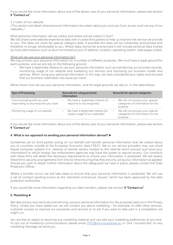If you would like more information about any of the above uses of your personal information, please see section **9 "Contact us"**.

3.2 Users of our website

(This section will detail what personal information we collect about you and use if you access and use any of our websites.)

What personal information will we collect and where will we collect it from?

We will share some website experience data with trusted third parties to help us improve the service we provide to you. This data will never be special category data. If possible this data will be irreversibly anonymised and therefore no longer attributable to you. Where data cannot be anonymised it will include personal data shared by most web browsers such as (but not limited to) your IP address, location, operating system, web pages visited.

#### What will we use your personal information for?

We may process your personal information for a number of different purposes. We must have a legal ground for each purpose, and we will rely on the following ground:

We have a legitimate interest to use your personal information such as maintaining our business records, monitoring usage of our website and marketing our services and improving our business model and services. When using your personal information in this way, we have considered your rights and ensured that our business need does not cause you harm.

We've shown how we use your personal information, and the legal grounds we rely on, in the table below:

| <b>Type of Processing</b>                                          | Grounds for using personal<br>information                          | <b>Grounds for special categories</b>                                                          |
|--------------------------------------------------------------------|--------------------------------------------------------------------|------------------------------------------------------------------------------------------------|
| Communicating with you and<br>responding to any enquiries you have | We have a legitimate interest (to<br>respond to any enquiries)     | We will not process your special<br>$\bullet$<br>categories of information for this<br>purpose |
| Monitoring usage of our website                                    | We have a legitimate interest (to<br>assess usage of our websites) | We will not process your special<br>$\bullet$<br>categories of information for this<br>purpose |

If you would like more information about any of the above uses of your personal information, please see section **9 "Contact us"**.

#### **4. What is our approach to sending your personal information abroad? ►**

Sometimes we (or third parties acting on our behalf) will transfer personal information that we collect about you to countries outside of the European Economic Area ("EEA"). We or our service providers may use cloud based computer systems (i.e. network of remote servers hosted on the internet which process and store your information) to which foreign law enforcement agencies may have the power to require access. Our contracts with these firms will detail the necessary requirements to ensure your information is protected. We will assess these firm's security arrangements from time to time ensuring that they are only using your information as agreed. Should you wish to obtain further information about the safeguards we have in place, please contact the Data Protection Officer.

Where a transfer occurs we will take steps to ensure that your personal information is protected. We will use a set of contract wording known as the "standard contractual clauses" which has been approved by the data protection authorities.

If you would like more information regarding our data transfers, please see section **9 "Contact us".**

#### **5. Marketing ►**

We take privacy very seriously and will only use your personal information for the purposes laid out in this Privacy Policy. Unless you have opted out, we will contact you about marketing – for example, to offer other services, customer surveys to improve our processes and services or to ask if you want to take part in a competition we might run.

You are free to object to receiving any marketing material and can edit your marketing preferences at any time. To opt out of marketing communications please email DPO@aioinissaydowa.eu or click "unsubscribe" on any marketing message we send you.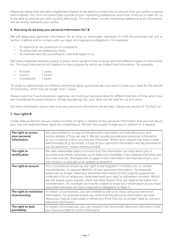Please be aware that we have a legitimate interest to be able to contact you to discuss how your policy is being administered. This form of contact falls outside of your marketing preferences and must continue in order for us to be able to provide you with a policy effectively. This will never include marketing material and all information will be strictly related to your policy.

# **6. How long do we keep your personal information for? ►**

We will keep your personal information for as long as reasonably necessary to fulfil the purposes set out in section 3 above and to comply with our legal and regulatory obligations. For example:

- To respond to any questions or complaints.
- To show that we treated you fairly.
- To maintain records according to rules that apply to us.

We have a detailed retention policy in place which governs how long we will hold different types of information for. The exact time period will depend on the purpose for which we collect that information, for example:

- Policies: 7 years
- Claims: 7 years\*
- Complaints: 7 years

\*In order to administrate the lifetime ownership repair guarantee we may need to keep your data for the period of ownership, which may be longer than 7 years.

Please note that Fraud prevention agencies can hold your personal data for different periods of time, and if you are considered to pose a fraud or money laundering risk, your data can be held for up to 6 years.

For more information about how long your personal information will be kept, please see section 9 "Contact us".

# **7. Your rights ►**

Under data protection law you have a number of rights in relation to the personal information that we hold about you. You can exercise these rights by contacting us. We will not usually charge you in relation to a request.

| The right to access<br>your personal<br>information | You are entitled to a copy of the personal information we hold about you and<br>certain details of how we use it. We will usually provide your personal information<br>to you in writing unless you request otherwise. Where your request has been made<br>electronically (e.g. by email), a copy of your personal information will be provided to<br>you by electronic means where possible.                                                                                                                                                                                                |
|-----------------------------------------------------|----------------------------------------------------------------------------------------------------------------------------------------------------------------------------------------------------------------------------------------------------------------------------------------------------------------------------------------------------------------------------------------------------------------------------------------------------------------------------------------------------------------------------------------------------------------------------------------------|
| The right to<br>rectification                       | We take reasonable steps to ensure that the information we hold about you is<br>accurate and where necessary up to date and complete. If you believe that there are<br>any inaccuracies, discrepancies or gaps in the information we hold about you, you<br>can contact us and ask us to update or amend it.                                                                                                                                                                                                                                                                                 |
| The right to erasure                                | This is sometimes known as the 'right to be forgotten'. It entitles you, in certain<br>circumstances, to request deletion of your personal information. For example,<br>where we no longer need your personal information for the original purpose we<br>collected it for or where you have exercised your right to withdrawn consent. Whilst<br>we will assess every request, there are other factors that will need to be taken into<br>consideration. For example we may be unable to erase your information as you have<br>requested because we have a regulatory obligation to keep it. |
| The right to restriction<br>of processing           | In certain circumstances, you are entitled to ask us to stop using your personal<br>information, for example where you think that the personal information we hold<br>about you may be inaccurate or where you think that we no longer need to use your<br>personal information.                                                                                                                                                                                                                                                                                                             |
| The right to data<br>portability                    | In certain circumstances, you can request that we transfer personal information that<br>you have provided to us to a third party.                                                                                                                                                                                                                                                                                                                                                                                                                                                            |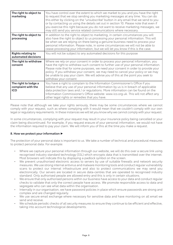| The right to object to<br>marketing                      | You have control over the extent to which we market to you and you have the right<br>to request that we stop sending you marketing messages at any time. You can do<br>this either by clicking on the "unsubscribe" button in any email that we send to you<br>or by contacting us using the details set out in section 10. Please note that even if<br>you exercise this right because you do not want to receive marketing messages, we<br>may still send you service related communications where necessary. |
|----------------------------------------------------------|-----------------------------------------------------------------------------------------------------------------------------------------------------------------------------------------------------------------------------------------------------------------------------------------------------------------------------------------------------------------------------------------------------------------------------------------------------------------------------------------------------------------|
| The right to object to<br>processing                     | In addition to the right to object to marketing, in certain circumstances you will<br>also have the right to object to us processing your personal information. This will<br>be when we are relying on there being a genuine business need to process your<br>personal information. Please note, in some circumstances we will not be able to<br>cease processing your information, but we will let you know if this is the case.                                                                               |
| <b>Rights relating to</b><br>automated decisions         | You will not be subject to any automated decisions for this purpose                                                                                                                                                                                                                                                                                                                                                                                                                                             |
| The right to withdraw<br>consent                         | Where we rely on your consent in order to process your personal information, you<br>have the right to withdraw such consent to further use of your personal information.<br>Please note that for some purposes, we need your consent in order to provide your<br>policy. If you withdraw your consent, we may need to cancel your policy or we may<br>be unable to pay your claim. We will advise you of this at the point you seek to<br>withdraw your consent                                                 |
| The right to lodge a<br>complaint with the<br><b>ICO</b> | You have a right to complain to the Information Commissioner's Office if you<br>believe that any use of your personal information by us is in breach of applicable<br>data protection laws and / or regulations. More information can be found on the<br>Information Commissioner's Office website: www.ico.org.uk. This will not affect any<br>other legal rights or remedies that you have.                                                                                                                   |

Please note that although we take your rights seriously, there may be some circumstances where we cannot comply with your request, such as where complying with it would mean that we couldn't comply with our own legal or regulatory requirements. In these instances we will let you know why we cannot comply with your request.

In some circumstances, complying with your request may result in your insurance policy being cancelled or your claim being discontinued. For example, if you request erasure of your personal information, we would not have the information required to pay your claim. We will inform you of this at the time you make a request.

# **8. How we protect your information ►**

The protection of your personal data is important to us. We take a number of technical and procedural measures to protect personal data. For example:

- Where we capture your personal information through our website, we will do this over a secure link using recognised industry standard technology (SSL) which encrypts data that is transmitted over the internet. Most browsers will indicate this by displaying a padlock symbol on the screen.
- We prevent unauthorised electronic access to servers by use of suitable firewalls and network security measures. We use strong internal antivirus and malware monitoring tools and conduct regular vulnerability scans to protect our internal infrastructure and also to protect communications we may send you electronically. Our servers are located in secure data-centres that are operated to recognised industry standard. Only authorised people are allowed entry and this is only in certain situations.
- We ensure that only authorised persons within our business have access to your data and conduct regular checks to validate that only the correct people have access. We promote responsible access to data and segregate who can see what data within the organisation.
- Internally in our organisation, we have password policies in place which ensure passwords are strong and complex and are changed regularly.
- We use secure email exchange where necessary for sensitive data and have monitoring on all email we send and receive.
- We schedule periodic checks of all security measures to ensure they continue to be efficient and effective, taking into account technological developments.